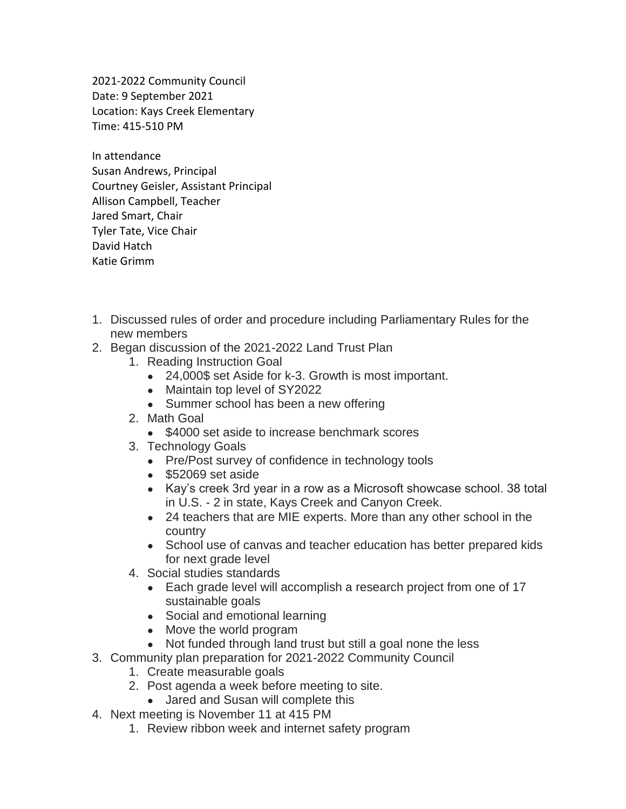2021-2022 Community Council Date: 9 September 2021 Location: Kays Creek Elementary Time: 415-510 PM

In attendance Susan Andrews, Principal Courtney Geisler, Assistant Principal Allison Campbell, Teacher Jared Smart, Chair Tyler Tate, Vice Chair David Hatch Katie Grimm

- 1. Discussed rules of order and procedure including Parliamentary Rules for the new members
- 2. Began discussion of the 2021-2022 Land Trust Plan
	- 1. Reading Instruction Goal
		- 24,000\$ set Aside for k-3. Growth is most important.
		- Maintain top level of SY2022
		- Summer school has been a new offering
	- 2. Math Goal
		- \$4000 set aside to increase benchmark scores
	- 3. Technology Goals
		- Pre/Post survey of confidence in technology tools
		- \$52069 set aside
		- Kay's creek 3rd year in a row as a Microsoft showcase school. 38 total in U.S. - 2 in state, Kays Creek and Canyon Creek.
		- 24 teachers that are MIE experts. More than any other school in the country
		- School use of canvas and teacher education has better prepared kids for next grade level
	- 4. Social studies standards
		- Each grade level will accomplish a research project from one of 17 sustainable goals
		- Social and emotional learning
		- Move the world program
		- Not funded through land trust but still a goal none the less
- 3. Community plan preparation for 2021-2022 Community Council
	- 1. Create measurable goals
	- 2. Post agenda a week before meeting to site.
		- Jared and Susan will complete this
- 4. Next meeting is November 11 at 415 PM
	- 1. Review ribbon week and internet safety program